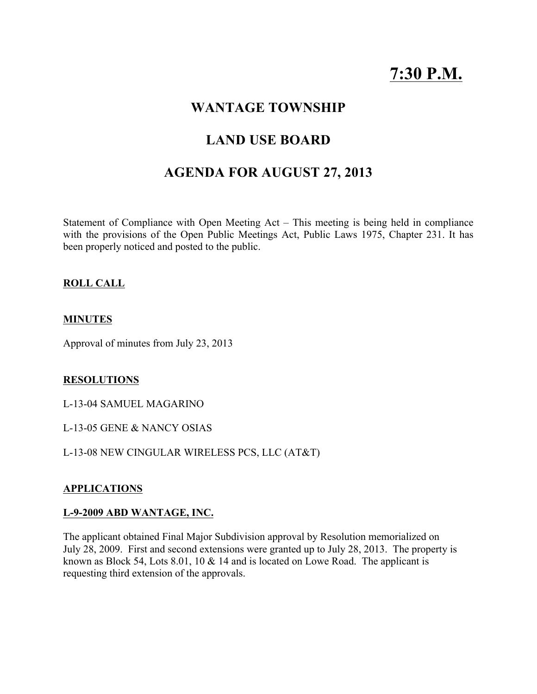# 7:30 P.M.

## WANTAGE TOWNSHIP

# LAND USE BOARD

# AGENDA FOR AUGUST 27, 2013

Statement of Compliance with Open Meeting Act – This meeting is being held in compliance with the provisions of the Open Public Meetings Act, Public Laws 1975, Chapter 231. It has been properly noticed and posted to the public.

#### ROLL CALL

#### MINUTES

Approval of minutes from July 23, 2013

#### RESOLUTIONS

L-13-04 SAMUEL MAGARINO

L-13-05 GENE & NANCY OSIAS

L-13-08 NEW CINGULAR WIRELESS PCS, LLC (AT&T)

#### APPLICATIONS

#### L-9-2009 ABD WANTAGE, INC.

The applicant obtained Final Major Subdivision approval by Resolution memorialized on July 28, 2009. First and second extensions were granted up to July 28, 2013. The property is known as Block 54, Lots 8.01, 10 & 14 and is located on Lowe Road. The applicant is requesting third extension of the approvals.